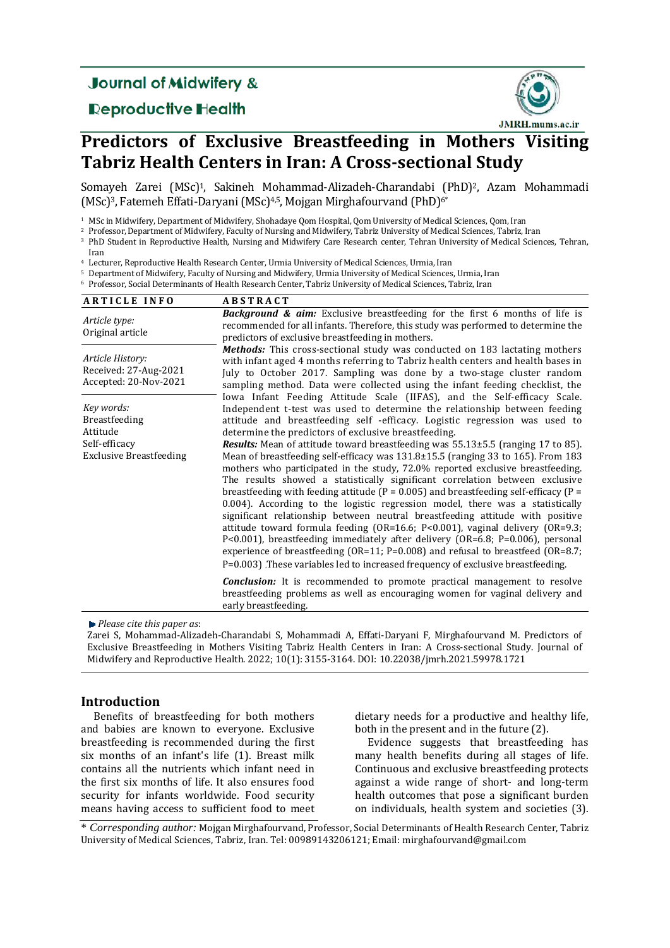## **Journal of Midwifery &**

## **Reproductive Health**



# **Predictors of Exclusive Breastfeeding in Mothers Visiting Tabriz Health Centers in Iran: A Cross‐sectional Study**

Somayeh Zarei (MSc)<sup>1</sup>, Sakineh Mohammad-Alizadeh-Charandabi (PhD)<sup>2</sup>, Azam Mohammadi (MSc)<sup>3</sup>, Fatemeh Effati-Daryani (MSc)<sup>4,5</sup>, Mojgan Mirghafourvand (PhD)<sup>6\*</sup>

<sup>1</sup> MSc in Midwifery, Department of Midwifery, Shohadaye Qom Hospital, Qom University of Medical Sciences, Qom, Iran

<sup>2</sup> Professor, Department of Midwifery, Faculty of Nursing and Midwifery, Tabriz University of Medical Sciences, Tabriz, Iran

<sup>3</sup> PhD Student in Reproductive Health, Nursing and Midwifery Care Research center, Tehran University of Medical Sciences, Tehran,

Iran 

<sup>4</sup> Lecturer, Reproductive Health Research Center, Urmia University of Medical Sciences, Urmia, Iran

<sup>5</sup> Department of Midwifery, Faculty of Nursing and Midwifery, Urmia University of Medical Sciences, Urmia, Iran <sup>6</sup> Professor, Social Determinants of Health Research Center, Tabriz University of Medical Sciences, Tabriz, Iran

| <b>ARTICLE INFO</b>                                                                        | <b>ABSTRACT</b>                                                                                                                                                                                                                                                                                                                                                                                                                                                                                                                                                                                                                                                                                                                                                                                                                                                                                                                                                                                                                                                                                                                                                                                                                                                |
|--------------------------------------------------------------------------------------------|----------------------------------------------------------------------------------------------------------------------------------------------------------------------------------------------------------------------------------------------------------------------------------------------------------------------------------------------------------------------------------------------------------------------------------------------------------------------------------------------------------------------------------------------------------------------------------------------------------------------------------------------------------------------------------------------------------------------------------------------------------------------------------------------------------------------------------------------------------------------------------------------------------------------------------------------------------------------------------------------------------------------------------------------------------------------------------------------------------------------------------------------------------------------------------------------------------------------------------------------------------------|
| Article type:<br>Original article                                                          | <b>Background &amp; aim:</b> Exclusive breastfeeding for the first 6 months of life is<br>recommended for all infants. Therefore, this study was performed to determine the<br>predictors of exclusive breastfeeding in mothers.                                                                                                                                                                                                                                                                                                                                                                                                                                                                                                                                                                                                                                                                                                                                                                                                                                                                                                                                                                                                                               |
| Article History:<br>Received: 27-Aug-2021<br>Accepted: 20-Nov-2021                         | <b>Methods:</b> This cross-sectional study was conducted on 183 lactating mothers<br>with infant aged 4 months referring to Tabriz health centers and health bases in<br>July to October 2017. Sampling was done by a two-stage cluster random<br>sampling method. Data were collected using the infant feeding checklist, the                                                                                                                                                                                                                                                                                                                                                                                                                                                                                                                                                                                                                                                                                                                                                                                                                                                                                                                                 |
| Key words:<br>Breastfeeding<br>Attitude<br>Self-efficacy<br><b>Exclusive Breastfeeding</b> | Iowa Infant Feeding Attitude Scale (IIFAS), and the Self-efficacy Scale.<br>Independent t-test was used to determine the relationship between feeding<br>attitude and breastfeeding self -efficacy. Logistic regression was used to<br>determine the predictors of exclusive breastfeeding.<br><b>Results:</b> Mean of attitude toward breastfeeding was 55.13±5.5 (ranging 17 to 85).<br>Mean of breastfeeding self-efficacy was 131.8±15.5 (ranging 33 to 165). From 183<br>mothers who participated in the study, 72.0% reported exclusive breastfeeding.<br>The results showed a statistically significant correlation between exclusive<br>breastfeeding with feeding attitude ( $P = 0.005$ ) and breastfeeding self-efficacy ( $P =$<br>0.004). According to the logistic regression model, there was a statistically<br>significant relationship between neutral breastfeeding attitude with positive<br>attitude toward formula feeding (OR=16.6; P<0.001), vaginal delivery (OR=9.3;<br>P<0.001), breastfeeding immediately after delivery ( $OR=6.8$ ; P=0.006), personal<br>experience of breastfeeding (OR=11; P=0.008) and refusal to breastfeed (OR=8.7;<br>$P=0.003$ ). These variables led to increased frequency of exclusive breastfeeding. |
|                                                                                            | <b>Conclusion:</b> It is recommended to promote practical management to resolve<br>breastfeeding problems as well as encouraging women for vaginal delivery and<br>early breastfeeding.                                                                                                                                                                                                                                                                                                                                                                                                                                                                                                                                                                                                                                                                                                                                                                                                                                                                                                                                                                                                                                                                        |

*Please cite this paper as*: 

Zarei S, Mohammad-Alizadeh-Charandabi S, Mohammadi A, Effati-Daryani F, Mirghafourvand M. Predictors of Exclusive Breastfeeding in Mothers Visiting Tabriz Health Centers in Iran: A Cross-sectional Study. Journal of Midwifery and Reproductive Health. 2022; 10(1): 3155-3164. DOI: 10.22038/jmrh.2021.59978.1721

### **Introduction**

Benefits of breastfeeding for both mothers and babies are known to everyone. Exclusive breastfeeding is recommended during the first six months of an infant's life (1). Breast milk contains all the nutrients which infant need in the first six months of life. It also ensures food security for infants worldwide. Food security means having access to sufficient food to meet

dietary needs for a productive and healthy life, both in the present and in the future  $(2)$ .

Evidence suggests that breastfeeding has many health benefits during all stages of life. Continuous and exclusive breastfeeding protects against a wide range of short- and long-term health outcomes that pose a significant burden on individuals, health system and societies (3).

\* *Corresponding author:* Mojgan Mirghafourvand, Professor, Social Determinants of Health Research Center, Tabriz University of Medical Sciences, Tabriz, Iran. Tel: 00989143206121; Email: mirghafourvand@gmail.com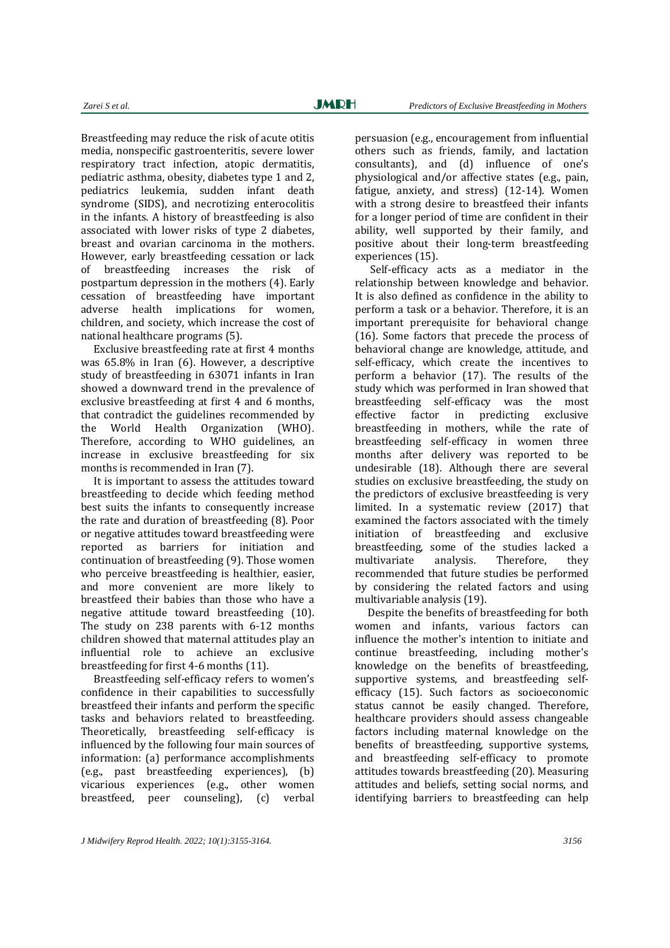Breastfeeding may reduce the risk of acute otitis media, nonspecific gastroenteritis, severe lower respiratory tract infection, atopic dermatitis, pediatric asthma, obesity, diabetes type 1 and 2, pediatrics leukemia, sudden infant death syndrome (SIDS), and necrotizing enterocolitis in the infants. A history of breastfeeding is also associated with lower risks of type 2 diabetes, breast and ovarian carcinoma in the mothers. However, early breastfeeding cessation or lack of breastfeeding increases the risk of postpartum depression in the mothers  $(4)$ . Early cessation of breastfeeding have important adverse health implications for women, children, and society, which increase the cost of national healthcare programs (5).

Exclusive breastfeeding rate at first 4 months was  $65.8\%$  in Iran  $(6)$ . However, a descriptive study of breastfeeding in 63071 infants in Iran showed a downward trend in the prevalence of exclusive breastfeeding at first 4 and 6 months. that contradict the guidelines recommended by the World Health Organization (WHO). Therefore, according to WHO guidelines, an increase in exclusive breastfeeding for six months is recommended in Iran (7).

It is important to assess the attitudes toward breastfeeding to decide which feeding method best suits the infants to consequently increase the rate and duration of breastfeeding (8). Poor or negative attitudes toward breastfeeding were reported as barriers for initiation and continuation of breastfeeding (9). Those women who perceive breastfeeding is healthier, easier, and more convenient are more likely to breastfeed their babies than those who have a negative attitude toward breastfeeding (10). The study on  $238$  parents with  $6-12$  months children showed that maternal attitudes play an influential role to achieve an exclusive breastfeeding for first  $4-6$  months  $(11)$ .

Breastfeeding self-efficacy refers to women's confidence in their capabilities to successfully breastfeed their infants and perform the specific tasks and behaviors related to breastfeeding. Theoretically, breastfeeding self-efficacy is influenced by the following four main sources of information: (a) performance accomplishments  $(e.g.,$  past breastfeeding experiences),  $(b)$ vicarious experiences (e.g., other women breastfeed, peer counseling), (c) verbal

persuasion (e.g., encouragement from influential others such as friends, family, and lactation consultants), and (d) influence of one's physiological and/or affective states (e.g., pain, fatigue, anxiety, and stress)  $(12-14)$ . Women with a strong desire to breastfeed their infants for a longer period of time are confident in their ability, well supported by their family, and positive about their long‐term breastfeeding experiences (15).

Self-efficacy acts as a mediator in the relationship between knowledge and behavior. It is also defined as confidence in the ability to perform a task or a behavior. Therefore, it is an important prerequisite for behavioral change  $(16)$ . Some factors that precede the process of behavioral change are knowledge, attitude, and self-efficacy, which create the incentives to perform a behavior  $(17)$ . The results of the study which was performed in Iran showed that breastfeeding self-efficacy was the most effective factor in predicting exclusive breastfeeding in mothers, while the rate of breastfeeding self-efficacy in women three months after delivery was reported to be undesirable (18). Although there are several studies on exclusive breastfeeding, the study on the predictors of exclusive breastfeeding is very limited. In a systematic review (2017) that examined the factors associated with the timely initiation of breastfeeding and exclusive breastfeeding, some of the studies lacked a multivariate analysis. Therefore, they recommended that future studies be performed by considering the related factors and using multivariable analysis (19).

Despite the benefits of breastfeeding for both women and infants, various factors can influence the mother's intention to initiate and continue breastfeeding, including mother's knowledge on the benefits of breastfeeding, supportive systems, and breastfeeding selfefficacy (15). Such factors as socioeconomic status cannot be easily changed. Therefore, healthcare providers should assess changeable factors including maternal knowledge on the benefits of breastfeeding, supportive systems, and breastfeeding self-efficacy to promote attitudes towards breastfeeding (20). Measuring attitudes and beliefs, setting social norms, and identifying barriers to breastfeeding can help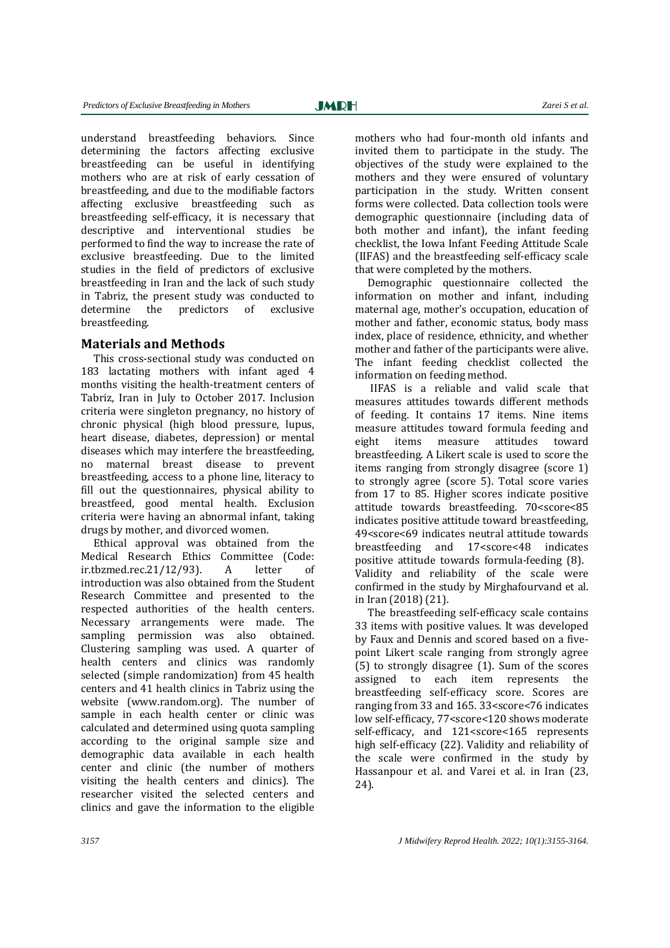Ī

understand breastfeeding behaviors. Since determining the factors affecting exclusive breastfeeding can be useful in identifying mothers who are at risk of early cessation of breastfeeding, and due to the modifiable factors affecting exclusive breastfeeding such as breastfeeding self-efficacy, it is necessary that descriptive and interventional studies be performed to find the way to increase the rate of exclusive breastfeeding. Due to the limited studies in the field of predictors of exclusive breastfeeding in Iran and the lack of such study in Tabriz, the present study was conducted to determine the predictors of exclusive breastfeeding. 

### **Materials and Methods**

This cross-sectional study was conducted on 183 lactating mothers with infant aged 4 months visiting the health-treatment centers of Tabriz, Iran in July to October 2017. Inclusion criteria were singleton pregnancy, no history of chronic physical (high blood pressure, lupus, heart disease, diabetes, depression) or mental diseases which may interfere the breastfeeding. no maternal breast disease to prevent breastfeeding, access to a phone line, literacy to fill out the questionnaires, physical ability to breastfeed, good mental health. Exclusion criteria were having an abnormal infant, taking drugs by mother, and divorced women.

Ethical approval was obtained from the Medical Research Ethics Committee (Code:  $ir.tbzmed. rec.21/12/93$ . A letter of introduction was also obtained from the Student Research Committee and presented to the respected authorities of the health centers. Necessary arrangements were made. The sampling permission was also obtained. Clustering sampling was used. A quarter of health centers and clinics was randomly selected (simple randomization) from 45 health centers and 41 health clinics in Tabriz using the website (www.random.org). The number of sample in each health center or clinic was calculated and determined using quota sampling according to the original sample size and demographic data available in each health center and clinic (the number of mothers visiting the health centers and clinics). The researcher visited the selected centers and clinics and gave the information to the eligible

mothers who had four-month old infants and invited them to participate in the study. The objectives of the study were explained to the mothers and they were ensured of voluntary participation in the study. Written consent forms were collected. Data collection tools were demographic questionnaire (including data of both mother and infant), the infant feeding checklist, the Iowa Infant Feeding Attitude Scale (IIFAS) and the breastfeeding self-efficacy scale that were completed by the mothers.

Demographic questionnaire collected the information on mother and infant, including maternal age, mother's occupation, education of mother and father, economic status, body mass index, place of residence, ethnicity, and whether mother and father of the participants were alive. The infant feeding checklist collected the information on feeding method.

 IIFAS is a reliable and valid scale that measures attitudes towards different methods of feeding. It contains 17 items. Nine items measure attitudes toward formula feeding and eight items measure attitudes toward breastfeeding. A Likert scale is used to score the items ranging from strongly disagree (score 1) to strongly agree (score 5). Total score varies from 17 to 85. Higher scores indicate positive attitude towards breastfeeding. 70<score<85 indicates positive attitude toward breastfeeding, 49<score<69 indicates neutral attitude towards breastfeeding and 17<score<48 indicates positive attitude towards formula-feeding (8). Validity and reliability of the scale were confirmed in the study by Mirghafourvand et al. in Iran (2018) (21).

The breastfeeding self-efficacy scale contains 33 items with positive values. It was develoned by Faux and Dennis and scored based on a fivepoint Likert scale ranging from strongly agree  $(5)$  to strongly disagree  $(1)$ . Sum of the scores assigned to each item represents the breastfeeding self-efficacy score. Scores are ranging from 33 and 165. 33<score<76 indicates low self-efficacy, 77<score<120 shows moderate self-efficacy, and 121<score<165 represents high self-efficacy (22). Validity and reliability of the scale were confirmed in the study by Hassanpour et al. and Varei et al. in Iran (23, 24).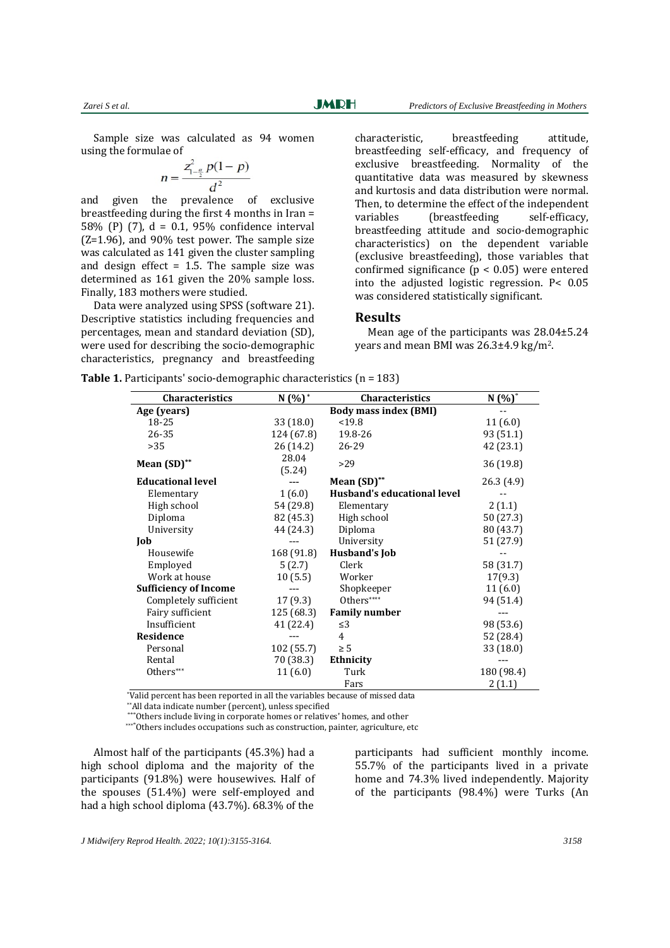Sample size was calculated as 94 women using the formulae of

$$
n = \frac{z_{1-\frac{\alpha}{2}}^2 p(1-p)}{d^2}
$$

and given the prevalence of exclusive breastfeeding during the first  $4$  months in Iran = 58% (P) (7),  $d = 0.1$ , 95% confidence interval  $(Z=1.96)$ , and  $90\%$  test power. The sample size was calculated as 141 given the cluster sampling and design effect  $= 1.5$ . The sample size was determined as 161 given the 20% sample loss. Finally, 183 mothers were studied.

Data were analyzed using SPSS (software 21). Descriptive statistics including frequencies and percentages, mean and standard deviation (SD). were used for describing the socio-demographic characteristics, pregnancy and breastfeeding  characteristic, breastfeeding attitude, breastfeeding self-efficacy, and frequency of exclusive breastfeeding. Normality of the quantitative data was measured by skewness and kurtosis and data distribution were normal. Then, to determine the effect of the independent variables (breastfeeding self-efficacy, breastfeeding attitude and socio-demographic characteristics) on the dependent variable (exclusive breastfeeding), those variables that confirmed significance  $(p < 0.05)$  were entered into the adjusted logistic regression.  $P < 0.05$ was considered statistically significant.

#### **Results**

Mean age of the participants was  $28.04 \pm 5.24$ vears and mean BMI was  $26.3\pm4.9 \text{ kg/m}^2$ .

|  | <b>Table 1.</b> Participants' socio-demographic characteristics $(n = 183)$ |  |
|--|-----------------------------------------------------------------------------|--|
|  |                                                                             |  |

| <b>Characteristics</b>       | $N(%)^*$   | Characteristics              | $N(%)^*$   |
|------------------------------|------------|------------------------------|------------|
| Age (years)                  |            | <b>Body mass index (BMI)</b> |            |
| 18-25                        | 33 (18.0)  | < 19.8                       | 11(6.0)    |
| 26-35                        | 124 (67.8) | 19.8-26                      | 93 (51.1)  |
| >35                          | 26 (14.2)  | 26-29                        | 42 (23.1)  |
|                              | 28.04      |                              |            |
| Mean $(SD)$ **               | (5.24)     | >29                          | 36(19.8)   |
| <b>Educational level</b>     |            | Mean $(SD)$ **               | 26.3 (4.9) |
| Elementary                   | 1(6.0)     | Husband's educational level  |            |
| High school                  | 54 (29.8)  | Elementary                   | 2(1.1)     |
| Diploma                      | 82 (45.3)  | High school                  | 50 (27.3)  |
| University                   | 44 (24.3)  | Diploma                      | 80 (43.7)  |
| Job                          |            | University                   | 51 (27.9)  |
| Housewife                    | 168 (91.8) | <b>Husband's Job</b>         |            |
| Employed                     | 5(2.7)     | Clerk                        | 58 (31.7)  |
| Work at house                | 10(5.5)    | Worker                       | 17(9.3)    |
| <b>Sufficiency of Income</b> |            | Shopkeeper                   | 11(6.0)    |
| Completely sufficient        | 17(9.3)    | Others****                   | 94 (51.4)  |
| Fairy sufficient             | 125 (68.3) | <b>Family number</b>         |            |
| Insufficient                 | 41 (22.4)  | $\leq$ 3                     | 98 (53.6)  |
| Residence                    |            | 4                            | 52 (28.4)  |
| Personal                     | 102(55.7)  | $\geq 5$                     | 33 (18.0)  |
| Rental                       | 70 (38.3)  | Ethnicity                    |            |
| Others***                    | 11(6.0)    | Turk                         | 180 (98.4) |
|                              |            | Fars                         | 2(1.1)     |

\*Valid percent has been reported in all the variables because of missed data

\*\*All data indicate number (percent), unless specified

\*Others include living in corporate homes or relatives' homes, and other

\*\*\*\* Others includes occupations such as construction, painter, agriculture, etc

Almost half of the participants  $(45.3%)$  had a high school diploma and the majority of the participants (91.8%) were housewives. Half of the spouses  $(51.4%)$  were self-employed and had a high school diploma  $(43.7%)$ .  $68.3%$  of the

participants had sufficient monthly income. 55.7% of the participants lived in a private home and 74.3% lived independently. Majority of the participants (98.4%) were Turks (An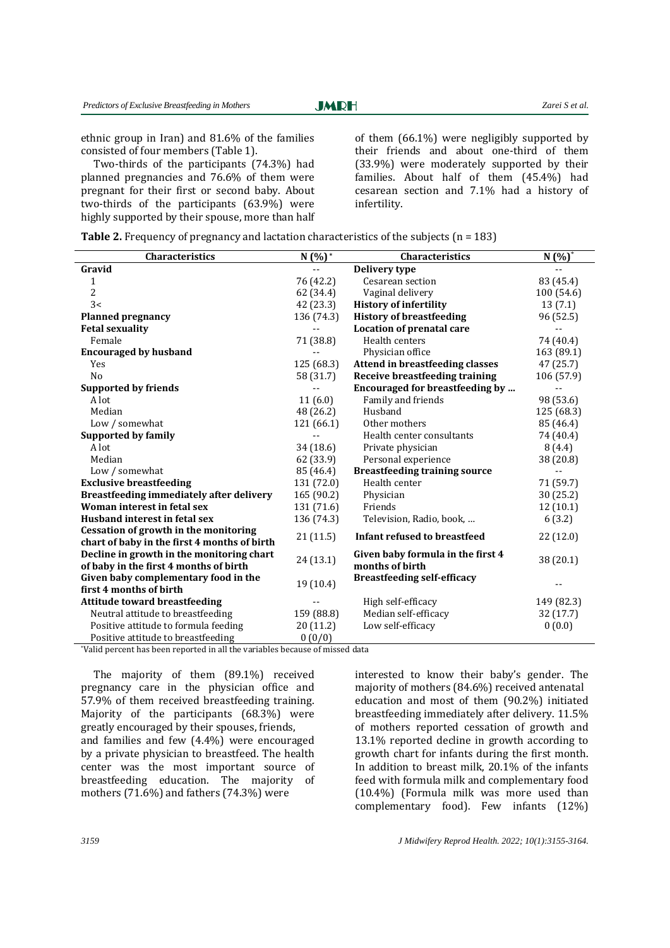**JMRH** 

Ī

ethnic group in Iran) and  $81.6\%$  of the families consisted of four members (Table 1).

Two-thirds of the participants (74.3%) had planned pregnancies and  $76.6%$  of them were pregnant for their first or second baby. About two-thirds of the participants  $(63.9\%)$  were highly supported by their spouse, more than half of them  $(66.1\%)$  were negligibly supported by their friends and about one-third of them  $(33.9\%)$  were moderately supported by their families. About half of them (45.4%) had cesarean section and 7.1% had a history of infertility. 

|  |  |  | <b>Table 2.</b> Frequency of pregnancy and lactation characteristics of the subjects ( $n = 183$ ) |  |  |  |  |  |  |  |  |  |
|--|--|--|----------------------------------------------------------------------------------------------------|--|--|--|--|--|--|--|--|--|
|--|--|--|----------------------------------------------------------------------------------------------------|--|--|--|--|--|--|--|--|--|

| Characteristics                              | $N(%)^*$   | Characteristics                        | $N(%)^*$   |
|----------------------------------------------|------------|----------------------------------------|------------|
| Gravid                                       |            | Delivery type                          |            |
| $\mathbf{1}$                                 | 76 (42.2)  | Cesarean section                       | 83 (45.4)  |
| 2                                            | 62 (34.4)  | Vaginal delivery                       | 100 (54.6) |
| 3<                                           | 42 (23.3)  | <b>History of infertility</b>          | 13(7.1)    |
| <b>Planned pregnancy</b>                     | 136 (74.3) | <b>History of breastfeeding</b>        | 96 (52.5)  |
| <b>Fetal sexuality</b>                       |            | Location of prenatal care              |            |
| Female                                       | 71 (38.8)  | Health centers                         | 74 (40.4)  |
| <b>Encouraged by husband</b>                 |            | Physician office                       | 163 (89.1) |
| Yes                                          | 125 (68.3) | <b>Attend in breastfeeding classes</b> | 47 (25.7)  |
| No                                           | 58 (31.7)  | <b>Receive breastfeeding training</b>  | 106 (57.9) |
| <b>Supported by friends</b>                  |            | Encouraged for breastfeeding by        | --         |
| A lot                                        | 11(6.0)    | Family and friends                     | 98 (53.6)  |
| Median                                       | 48 (26.2)  | Husband                                | 125 (68.3) |
| Low / somewhat                               | 121 (66.1) | Other mothers                          | 85 (46.4)  |
| <b>Supported by family</b>                   |            | Health center consultants              | 74 (40.4)  |
| A lot                                        | 34(18.6)   | Private physician                      | 8(4.4)     |
| Median                                       | 62 (33.9)  | Personal experience                    | 38 (20.8)  |
| Low / somewhat                               | 85 (46.4)  | <b>Breastfeeding training source</b>   |            |
| <b>Exclusive breastfeeding</b>               | 131 (72.0) | Health center                          | 71 (59.7)  |
| Breastfeeding immediately after delivery     | 165 (90.2) | Physician                              | 30 (25.2)  |
| Woman interest in fetal sex                  | 131 (71.6) | Friends                                | 12 (10.1)  |
| Husband interest in fetal sex                | 136 (74.3) | Television, Radio, book,               | 6(3.2)     |
| Cessation of growth in the monitoring        | 21(11.5)   | Infant refused to breastfeed           | 22 (12.0)  |
| chart of baby in the first 4 months of birth |            |                                        |            |
| Decline in growth in the monitoring chart    | 24(13.1)   | Given baby formula in the first 4      | 38 (20.1)  |
| of baby in the first 4 months of birth       |            | months of birth                        |            |
| Given baby complementary food in the         | 19(10.4)   | <b>Breastfeeding self-efficacy</b>     |            |
| first 4 months of birth                      |            |                                        |            |
| <b>Attitude toward breastfeeding</b>         |            | High self-efficacy                     | 149 (82.3) |
| Neutral attitude to breastfeeding            | 159 (88.8) | Median self-efficacy                   | 32 (17.7)  |
| Positive attitude to formula feeding         | 20 (11.2)  | Low self-efficacy                      | 0(0.0)     |
| Positive attitude to breastfeeding           | 0(0/0)     |                                        |            |

\*Valid percent has been reported in all the variables because of missed data

The majority of them  $(89.1\%)$  received pregnancy care in the physician office and 57.9% of them received breastfeeding training. Majority of the participants  $(68.3%)$  were greatly encouraged by their spouses, friends, and families and few  $(4.4\%)$  were encouraged by a private physician to breastfeed. The health center was the most important source of breastfeeding education. The majority of mothers  $(71.6\%)$  and fathers  $(74.3\%)$  were

interested to know their baby's gender. The majority of mothers (84.6%) received antenatal education and most of them (90.2%) initiated breastfeeding immediately after delivery. 11.5% of mothers reported cessation of growth and 13.1% reported decline in growth according to growth chart for infants during the first month. In addition to breast milk,  $20.1\%$  of the infants feed with formula milk and complementary food  $(10.4%)$  (Formula milk was more used than complementary food). Few infants (12%)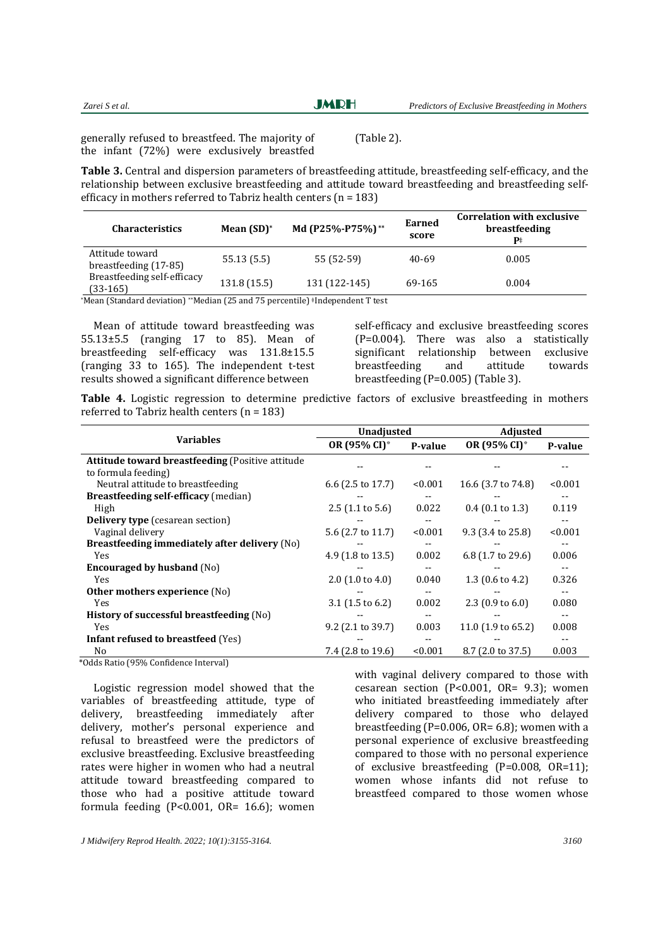| Zarei S et al. | <b>JMRH</b> | Predictors of Exclusive Breastfeeding in Mothers |
|----------------|-------------|--------------------------------------------------|
|                |             |                                                  |

 $(Table 2)$ .

generally refused to breastfeed. The majority of the infant  $(72%)$  were exclusively breastfed

**Table 3.** Central and dispersion parameters of breastfeeding attitude, breastfeeding self-efficacy, and the relationship between exclusive breastfeeding and attitude toward breastfeeding and breastfeeding selfefficacy in mothers referred to Tabriz health centers  $(n = 183)$ 

| <b>Characteristics</b>                    | Mean $(SD)^*$ | Md (P25%-P75%)** | Earned<br>score | <b>Correlation with exclusive</b><br>breastfeeding<br>$\mathbf{p}$ |
|-------------------------------------------|---------------|------------------|-----------------|--------------------------------------------------------------------|
| Attitude toward<br>breastfeeding (17-85)  | 55.13(5.5)    | 55 (52-59)       | 40-69           | 0.005                                                              |
| Breastfeeding self-efficacy<br>$(33-165)$ | 131.8 (15.5)  | 131 (122-145)    | 69-165          | 0.004                                                              |

\*Mean (Standard deviation) \*\*Median (25 and 75 percentile) \*Independent T test

Mean of attitude toward breastfeeding was  $55.13\pm5.5$  (ranging 17 to 85). Mean of breastfeeding self-efficacy was 131.8±15.5 (ranging  $33$  to 165). The independent t-test results showed a significant difference between

self-efficacy and exclusive breastfeeding scores  $(P=0.004)$ . There was also a statistically significant relationship between exclusive breastfeeding and attitude towards breastfeeding  $(P=0.005)$  (Table 3).

**Table 4.** Logistic regression to determine predictive factors of exclusive breastfeeding in mothers referred to Tabriz health centers  $(n = 183)$ 

|                                                                                                                                                                                                                                                                                                                                                                                                                                                                                        | <b>Unadjusted</b>            |         | <b>Adjusted</b>             |         |  |
|----------------------------------------------------------------------------------------------------------------------------------------------------------------------------------------------------------------------------------------------------------------------------------------------------------------------------------------------------------------------------------------------------------------------------------------------------------------------------------------|------------------------------|---------|-----------------------------|---------|--|
| <b>Variables</b>                                                                                                                                                                                                                                                                                                                                                                                                                                                                       | OR (95% CI)*                 | P-value | OR (95% CI)*                | P-value |  |
| <b>Attitude toward breastfeeding (Positive attitude)</b>                                                                                                                                                                                                                                                                                                                                                                                                                               |                              |         |                             |         |  |
| to formula feeding)                                                                                                                                                                                                                                                                                                                                                                                                                                                                    |                              |         |                             |         |  |
| Neutral attitude to breastfeeding                                                                                                                                                                                                                                                                                                                                                                                                                                                      | 6.6 $(2.5 \text{ to } 17.7)$ | < 0.001 | 16.6 (3.7 to 74.8)          | < 0.001 |  |
| <b>Breastfeeding self-efficacy (median)</b>                                                                                                                                                                                                                                                                                                                                                                                                                                            |                              |         |                             |         |  |
| High                                                                                                                                                                                                                                                                                                                                                                                                                                                                                   | $2.5$ (1.1 to 5.6)           | 0.022   | $0.4$ (0.1 to 1.3)          | 0.119   |  |
| <b>Delivery type</b> (cesarean section)                                                                                                                                                                                                                                                                                                                                                                                                                                                |                              |         |                             |         |  |
| Vaginal delivery                                                                                                                                                                                                                                                                                                                                                                                                                                                                       | 5.6 (2.7 to 11.7)            | < 0.001 | 9.3 (3.4 to 25.8)           | < 0.001 |  |
| Breastfeeding immediately after delivery (No)                                                                                                                                                                                                                                                                                                                                                                                                                                          |                              |         |                             |         |  |
| Yes                                                                                                                                                                                                                                                                                                                                                                                                                                                                                    | 4.9 $(1.8 \text{ to } 13.5)$ | 0.002   | 6.8 (1.7 to 29.6)           | 0.006   |  |
| <b>Encouraged by husband (No)</b>                                                                                                                                                                                                                                                                                                                                                                                                                                                      |                              |         |                             |         |  |
| Yes                                                                                                                                                                                                                                                                                                                                                                                                                                                                                    | $2.0$ (1.0 to 4.0)           | 0.040   | 1.3 $(0.6 \text{ to } 4.2)$ | 0.326   |  |
| Other mothers experience (No)                                                                                                                                                                                                                                                                                                                                                                                                                                                          |                              |         |                             |         |  |
| Yes                                                                                                                                                                                                                                                                                                                                                                                                                                                                                    | 3.1 $(1.5 \text{ to } 6.2)$  | 0.002   | 2.3 $(0.9 \text{ to } 6.0)$ | 0.080   |  |
| History of successful breastfeeding (No)                                                                                                                                                                                                                                                                                                                                                                                                                                               |                              |         |                             |         |  |
| Yes                                                                                                                                                                                                                                                                                                                                                                                                                                                                                    | 9.2 (2.1 to 39.7)            | 0.003   | 11.0 (1.9 to 65.2)          | 0.008   |  |
| <b>Infant refused to breastfeed (Yes)</b>                                                                                                                                                                                                                                                                                                                                                                                                                                              |                              |         |                             |         |  |
| No.                                                                                                                                                                                                                                                                                                                                                                                                                                                                                    | 7.4 (2.8 to 19.6)            | < 0.001 | 8.7 (2.0 to 37.5)           | 0.003   |  |
| $\mathcal{L} \cap \mathcal{L} \cap \mathcal{L} \cap \mathcal{L} \cap \mathcal{L} \cap \mathcal{L} \cap \mathcal{L} \cap \mathcal{L} \cap \mathcal{L} \cap \mathcal{L} \cap \mathcal{L} \cap \mathcal{L} \cap \mathcal{L} \cap \mathcal{L} \cap \mathcal{L} \cap \mathcal{L} \cap \mathcal{L} \cap \mathcal{L} \cap \mathcal{L} \cap \mathcal{L} \cap \mathcal{L} \cap \mathcal{L} \cap \mathcal{L} \cap \mathcal{L} \cap \mathcal{L} \cap \mathcal{L} \cap \mathcal{L} \cap \mathcal{$ |                              |         |                             |         |  |

 \*Odds Ratio (95% Conϐidence Interval) 

Logistic regression model showed that the variables of breastfeeding attitude, type of delivery, breastfeeding immediately after delivery, mother's personal experience and refusal to breastfeed were the predictors of exclusive breastfeeding. Exclusive breastfeeding rates were higher in women who had a neutral attitude toward breastfeeding compared to those who had a positive attitude toward formula feeding  $(P<0.001, \text{ OR} = 16.6)$ ; women

with vaginal delivery compared to those with cesarean section (P<0.001, OR=  $9.3$ ); women who initiated breastfeeding immediately after delivery compared to those who delayed breastfeeding  $(P=0.006, OR= 6.8)$ ; women with a personal experience of exclusive breastfeeding compared to those with no personal experience of exclusive breastfeeding  $(P=0.008, OR=11)$ ; women whose infants did not refuse to breastfeed compared to those women whose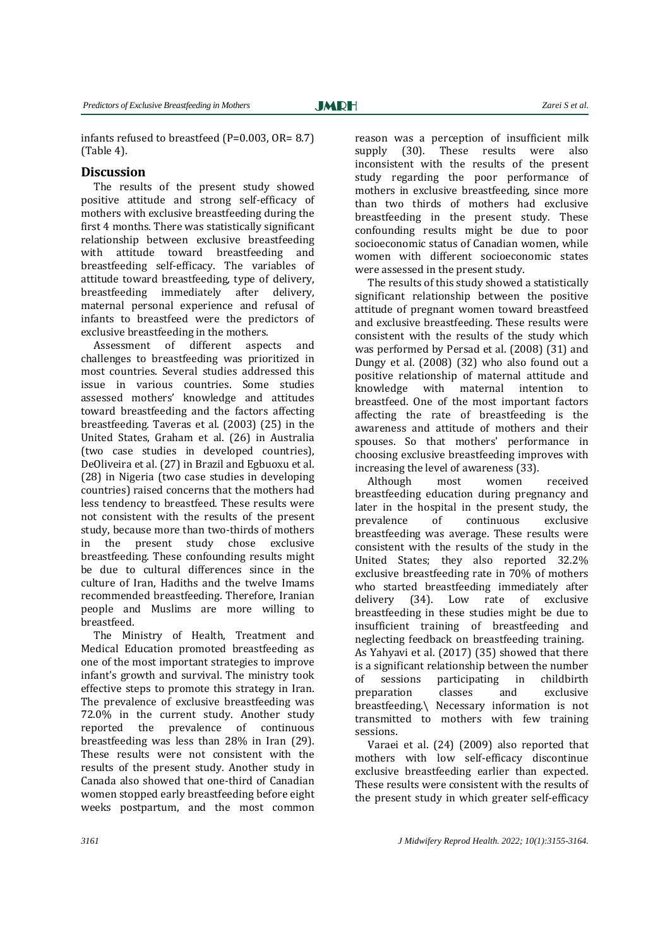infants refused to breastfeed  $(P=0.003, OR= 8.7)$  $(Table 4)$ .

## **Discussion**

The results of the present study showed positive attitude and strong self-efficacy of mothers with exclusive breastfeeding during the first 4 months. There was statistically significant relationship between exclusive breastfeeding with attitude toward breastfeeding and breastfeeding self-efficacy. The variables of attitude toward breastfeeding, type of delivery, breastfeeding immediately after delivery, maternal personal experience and refusal of infants to breastfeed were the predictors of exclusive breastfeeding in the mothers.

Assessment of different aspects and challenges to breastfeeding was prioritized in most countries. Several studies addressed this issue in various countries. Some studies assessed mothers' knowledge and attitudes toward breastfeeding and the factors affecting breastfeeding. Taveras et al. (2003) (25) in the United States, Graham et al. (26) in Australia (two case studies in developed countries), DeOliveira et al. (27) in Brazil and Egbuoxu et al. (28) in Nigeria (two case studies in developing countries) raised concerns that the mothers had less tendency to breastfeed. These results were not consistent with the results of the present study, because more than two-thirds of mothers in the present study chose exclusive breastfeeding. These confounding results might be due to cultural differences since in the culture of Iran, Hadiths and the twelve Imams recommended breastfeeding. Therefore, Iranian people and Muslims are more willing to breastfeed. 

The Ministry of Health, Treatment and Medical Education promoted breastfeeding as one of the most important strategies to improve infant's growth and survival. The ministry took effective steps to promote this strategy in Iran. The prevalence of exclusive breastfeeding was 72.0% in the current study. Another study reported the prevalence of continuous breastfeeding was less than  $28\%$  in Iran  $(29)$ . These results were not consistent with the results of the present study. Another study in Canada also showed that one-third of Canadian women stopped early breastfeeding before eight weeks postpartum, and the most common

reason was a perception of insufficient milk supply (30). These results were also inconsistent with the results of the present study regarding the poor performance of mothers in exclusive breastfeeding, since more than two thirds of mothers had exclusive breastfeeding in the present study. These confounding results might be due to poor socioeconomic status of Canadian women, while women with different socioeconomic states were assessed in the present study.

The results of this study showed a statistically significant relationship between the positive attitude of pregnant women toward breastfeed and exclusive breastfeeding. These results were consistent with the results of the study which was performed by Persad et al. (2008) (31) and Dungy et al. (2008) (32) who also found out a positive relationship of maternal attitude and knowledge with maternal intention to breastfeed. One of the most important factors affecting the rate of breastfeeding is the awareness and attitude of mothers and their spouses. So that mothers' performance in choosing exclusive breastfeeding improves with increasing the level of awareness (33).

Although most women received breastfeeding education during pregnancy and later in the hospital in the present study, the prevalence of continuous exclusive breastfeeding was average. These results were consistent with the results of the study in the United States; they also reported 32.2% exclusive breastfeeding rate in  $70\%$  of mothers who started breastfeeding immediately after delivery (34). Low rate of exclusive breastfeeding in these studies might be due to insufficient training of breastfeeding and neglecting feedback on breastfeeding training. As Yahyavi et al.  $(2017)$   $(35)$  showed that there is a significant relationship between the number of sessions participating in childbirth preparation classes and exclusive breastfeeding.\ Necessary information is not transmitted to mothers with few training sessions. 

Varaei et al.  $(24)$   $(2009)$  also reported that mothers with low self-efficacy discontinue exclusive breastfeeding earlier than expected. These results were consistent with the results of the present study in which greater self-efficacy

Ī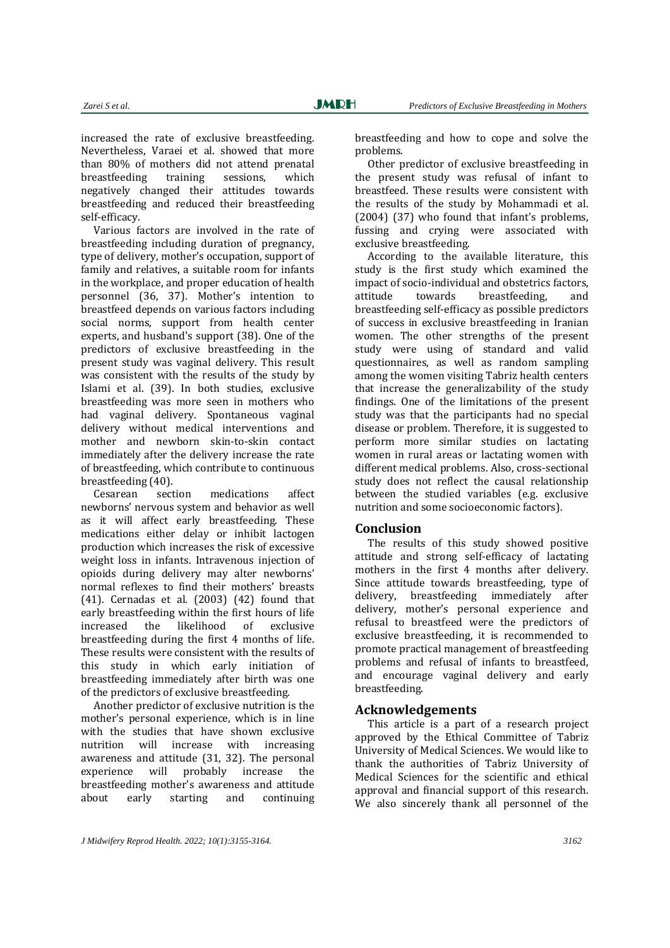increased the rate of exclusive breastfeeding. Nevertheless, Varaei et al. showed that more than 80% of mothers did not attend prenatal breastfeeding training sessions, which negatively changed their attitudes towards breastfeeding and reduced their breastfeeding self‐efficacy. 

Various factors are involved in the rate of breastfeeding including duration of pregnancy, type of delivery, mother's occupation, support of family and relatives, a suitable room for infants in the workplace, and proper education of health personnel (36, 37). Mother's intention to breastfeed depends on various factors including social norms, support from health center experts, and husband's support (38). One of the predictors of exclusive breastfeeding in the present study was vaginal delivery. This result was consistent with the results of the study by Islami et al. (39). In both studies, exclusive breastfeeding was more seen in mothers who had vaginal delivery. Spontaneous vaginal delivery without medical interventions and mother and newborn skin-to-skin contact immediately after the delivery increase the rate of breastfeeding, which contribute to continuous breastfeeding (40).

Cesarean section medications affect newborns' nervous system and behavior as well as it will affect early breastfeeding. These medications either delay or inhibit lactogen production which increases the risk of excessive weight loss in infants. Intravenous injection of opioids during delivery may alter newborns' normal reflexes to find their mothers' breasts  $(41)$ . Cernadas et al.  $(2003)$   $(42)$  found that early breastfeeding within the first hours of life increased the likelihood of exclusive breastfeeding during the first 4 months of life. These results were consistent with the results of this study in which early initiation of breastfeeding immediately after birth was one of the predictors of exclusive breastfeeding.

Another predictor of exclusive nutrition is the mother's personal experience, which is in line with the studies that have shown exclusive nutrition will increase with increasing awareness and attitude  $(31, 32)$ . The personal experience will probably increase the breastfeeding mother's awareness and attitude about early starting and continuing breastfeeding and how to cope and solve the problems. 

Other predictor of exclusive breastfeeding in the present study was refusal of infant to breastfeed. These results were consistent with the results of the study by Mohammadi et al. (2004) (37) who found that infant's problems, fussing and crying were associated with exclusive breastfeeding.

According to the available literature, this study is the first study which examined the impact of socio-individual and obstetrics factors, attitude towards breastfeeding, and breastfeeding self-efficacy as possible predictors of success in exclusive breastfeeding in Iranian women. The other strengths of the present study were using of standard and valid questionnaires, as well as random sampling among the women visiting Tabriz health centers that increase the generalizability of the study findings. One of the limitations of the present study was that the participants had no special disease or problem. Therefore, it is suggested to perform more similar studies on lactating women in rural areas or lactating women with different medical problems. Also, cross-sectional study does not reflect the causal relationship between the studied variables (e.g. exclusive nutrition and some socioeconomic factors).

#### **Conclusion**

The results of this study showed positive attitude and strong self-efficacy of lactating mothers in the first 4 months after delivery. Since attitude towards breastfeeding, type of delivery, breastfeeding immediately after delivery, mother's personal experience and refusal to breastfeed were the predictors of exclusive breastfeeding, it is recommended to promote practical management of breastfeeding problems and refusal of infants to breastfeed, and encourage vaginal delivery and early breastfeeding. 

### **Acknowledgements**

This article is a part of a research project approved by the Ethical Committee of Tabriz University of Medical Sciences. We would like to thank the authorities of Tabriz University of Medical Sciences for the scientific and ethical approval and financial support of this research. We also sincerely thank all personnel of the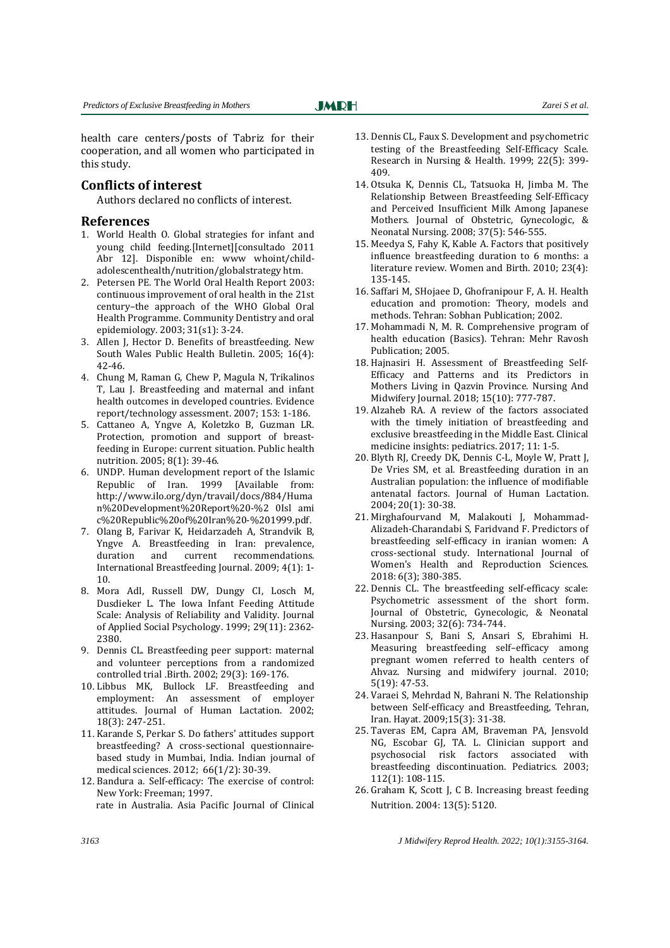health care centers/posts of Tabriz for their cooperation, and all women who participated in this study.

**JMRH** 

### **Conflicts of interest**

Authors declared no conflicts of interest.

#### **References**

- 1. World Health O. Global strategies for infant and young child feeding.[Internet][consultado 2011 Abr 12]. Disponible en: www whoint/childadolescenthealth/nutrition/globalstrategy htm.
- 2. Petersen PE. The World Oral Health Report 2003: continuous improvement of oral health in the 21st century-the approach of the WHO Global Oral Health Programme. Community Dentistry and oral epidemiology. 2003; 31(s1): 3-24.
- 3. Allen J, Hector D. Benefits of breastfeeding. New South Wales Public Health Bulletin. 2005; 16(4): 42‐46.
- 4. Chung M, Raman G, Chew P, Magula N, Trikalinos T. Lau I. Breastfeeding and maternal and infant health outcomes in developed countries. Evidence report/technology assessment. 2007; 153: 1-186.
- 5. Cattaneo A, Yngve A, Koletzko B, Guzman LR. Protection, promotion and support of breastfeeding in Europe: current situation. Public health nutrition. 2005; 8(1): 39-46.
- 6. UNDP. Human development report of the Islamic Republic of Iran. 1999 [Available from: http://www.ilo.org/dyn/travail/docs/884/Huma n%20Development%20Report%20‐%2 0Isl ami c%20Republic%20of%20Iran%20‐%201999.pdf.
- 7. Olang B, Farivar K, Heidarzadeh A, Strandvik B, Yngve A. Breastfeeding in Iran: prevalence, duration and current recommendations. International Breastfeeding Journal. 2009; 4(1): 1-10.
- 8. Mora Adl, Russell DW, Dungy CI, Losch M, Dusdieker L. The Iowa Infant Feeding Attitude Scale: Analysis of Reliability and Validity. Journal of Applied Social Psychology. 1999; 29(11): 2362-2380.
- 9. Dennis CL. Breastfeeding peer support: maternal and volunteer perceptions from a randomized controlled trial .Birth. 2002; 29(3): 169-176.
- 10. Libbus MK, Bullock LF. Breastfeeding and employment: An assessment of employer attitudes. Journal of Human Lactation. 2002; 18(3): 247‐251.
- 11. Karande S, Perkar S. Do fathers' attitudes support breastfeeding? A cross-sectional questionnairebased study in Mumbai, India. Indian journal of medical sciences. 2012; 66(1/2): 30-39.
- 12. Bandura a. Self-efficacy: The exercise of control: New York: Freeman; 1997. rate in Australia. Asia Pacific Journal of Clinical Nutrition. 2004: 13(5): 5120.
- 13. Dennis CL, Faux S. Development and psychometric testing of the Breastfeeding Self-Efficacy Scale. Research in Nursing & Health. 1999; 22(5): 399-409.
- 14. Otsuka K, Dennis CL, Tatsuoka H, Jimba M. The Relationship Between Breastfeeding Self-Efficacy and Perceived Insufficient Milk Among Japanese Mothers. Journal of Obstetric, Gynecologic, & Neonatal Nursing. 2008; 37(5): 546-555.
- 15. Meedya S, Fahy K, Kable A. Factors that positively influence breastfeeding duration to  $6$  months: a literature review. Women and Birth.  $2010$ ;  $23(4)$ : 135‐145.
- 16. Saffari M, SHojaee D, Ghofranipour F, A. H. Health education and promotion: Theory, models and methods. Tehran: Sobhan Publication; 2002.
- 17. Mohammadi N, M. R. Comprehensive program of health education (Basics). Tehran: Mehr Ravosh Publication; 2005.
- 18. Hajnasiri H. Assessment of Breastfeeding Self-Efficacy and Patterns and its Predictors in Mothers Living in Qazvin Province. Nursing And Midwifery Journal. 2018; 15(10): 777-787.
- 19. Alzaheb RA. A review of the factors associated with the timely initiation of breastfeeding and exclusive breastfeeding in the Middle East. Clinical medicine insights: pediatrics. 2017: 11: 1-5.
- 20. Blyth RJ, Creedy DK, Dennis C-L, Moyle W, Pratt J, De Vries SM, et al. Breastfeeding duration in an Australian population: the influence of modifiable antenatal factors. Journal of Human Lactation. 2004; 20(1): 30‐38.
- 21. Mirghafourvand M, Malakouti J, Mohammad-Alizadeh-Charandabi S, Faridvand F. Predictors of breastfeeding self-efficacy in iranian women: A cross‐sectional study. International Journal of Women's Health and Reproduction Sciences. 2018: 6(3); 380‐385.
- 22. Dennis CL. The breastfeeding self-efficacy scale: Psychometric assessment of the short form. Journal of Obstetric, Gynecologic, & Neonatal Nursing. 2003; 32(6): 734-744.
- 23. Hasanpour S, Bani S, Ansari S, Ebrahimi H. Measuring breastfeeding self–efficacy among pregnant women referred to health centers of Ahvaz. Nursing and midwifery journal. 2010; 5(19): 47‐53.
- 24. Varaei S, Mehrdad N, Bahrani N. The Relationship between Self-efficacy and Breastfeeding, Tehran, Iran. Hayat. 2009;15(3): 31‐38.
- 25. Taveras EM, Capra AM, Braveman PA, Jensvold NG, Escobar GJ, TA. L. Clinician support and psychosocial risk factors associated with breastfeeding discontinuation. Pediatrics. 2003; 112(1): 108-115.
- 26. Graham K, Scott J, C B. Increasing breast feeding

*3163 J Midwifery Reprod Health. 2022; 10(1):3155-3164.* 

Ī